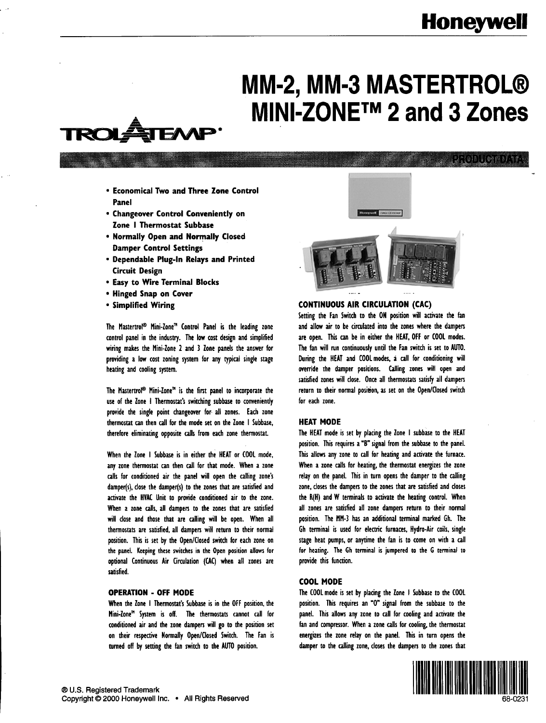## **Honeywell**

# **MM-2, MM-3 MASTERTROLB MINI-ZONETM 2 and 3 Zones**



<u>idideblicame Art</u>

- <sup>l</sup>**Economical Two and Three Zone Control Panel**
- **Changeover Control Conveniently on Zone** I **Thermostat Subbase**
- <sup>l</sup>**Normally Open and Normally Closed Damper Control Settings**
- **Dependable Plug-In Relays and Printed Circuit Design**
- **Easy to Wire Terminal Blocks**
- **Hinged Snap on Cover**
- **Simplified Wiring**

The Mastertrol® Mini-Zone™ Control Panel is the leading zone control panel in the industry. The low cost design and simplified wiring makes the Mini-Zone 2 and 3 Zone panels the answer for providing a low cost zoning system for any typical single stage heating and cooling system.

The Mastertrol<sup>®</sup> Mini-Zone<sup>m</sup> is the first panel to incorporate the use of the Zone I Thermostat's switching subbase to conveniently provide the single point changeover for ail zones. Each zone thermostat can then call for the mode set on the Zone I Subbase, therefore eliminating opposite calls from each zone thermostat.

When the Zone I Subbase is in either the HEAT or COOL mode, any zone thermostat can then call for that mode. When a zone calls for conditioned air the panel will open the calling zone's damper(s), close the damper(s) to the zones that are satisfied and activate the HVAC Unit to provide conditioned air to the zone. When a zone calls, ail dampers to the zones that are satisfied will close and those that are calling will be open. When all thermostats are satisfied, ail dampers will return to their normal position. This is set by the Open/Closed switch for each zone on the panel. Keeping these switches in the Open position allows for optional Continuous Air Circulation (CAC) when ail zones are satisfied.

#### **OPERATION - OFF MODE**

When the Zone I Thermostat's Subbase is in the OFF position, the Mini-Zone"' System is off. The thermostats cannot call for conditioned air and the zone dampers will go to the position set on their respective Normally Open/Closed Switch. The Fan is turned off by setting the fan switch to the AUTO position.



#### **CONTINUOUS AIR CIRCULATION** (CAC)

Setting the Fan Switch to the ON position will activate the fan and allow air to be circulated into the zones where the dampers are open. This can be in either the HEAT, OFF or COOL modes. The fan will run continuously until the Fan switch is set to AUTO. During the HEAT and COOL modes, a call for conditioning will override the damper positions. Calling zones will open and satisfied zones will close. Once ail thermostats satisfy ail dampers return to their normal position, as set on the Open/Closed switch for each zone.

#### **HEAT MODE**

The HEAT mode is set by placing the Zone I subbase to the HEAT position. This requires a "B" signal from the subbase to the panel. This allows any zone to call for heating and activate the furnace. When a zone calls for heating, the thermostat energizes the zone relay on the panel. This in turn opens the damper to the calling zone, closes the dampers to the zones that are satisfied and closes the k(H) and W terminals to activate the heating control. When all zones are satisfied all zone dampers return to their normal position. The MM-3 has an additional terminal marked Gh. The Gh terminal is used for electric furnaces, Hydra-Air coils, single stage heat pumps, or anytime the fan is to come on with a call for heating. The Gh terminal is jumpered to the G terminal to provide this function.

#### **COOL MODE**

The COOL mode is set by placing the Zone I Subbase to the COOL position. This requires an "0" signal from the subbase to the panel. This allows any zone to call for cooling and activate the fan and compressor. When a zone calls for cooling, the thermostat energizes the zone relay on the panel. This in turn opens the damper to the calling zone, closes the dampers to the zones that